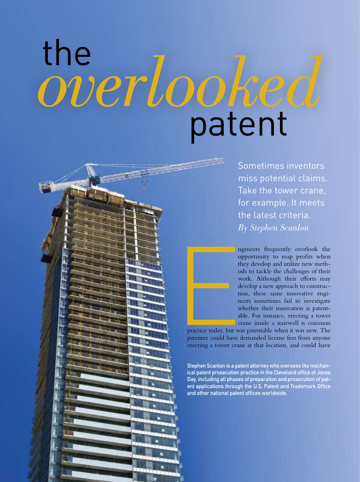## the **patent** *overlooked*



Sometimes inventors miss potential claims. Take the tower crane, for example. It meets the latest criteria. *By Stephen Scanlon*

ngineers frequently overlook the opportunity to reap profits when they develop and utilize new methods to tackle the challenges of their work. Although their efforts may develop a new approach to construction, these same innovative engineers sometimes fail to investigate whether their innovation is patentable. For instance, erecting a tower crane inside a stairwell is common

practice today, but was patentable when it was new. The patentee could have demanded license fees from anyone erecting a tower crane at that location, and could have

Stephen Scanlon is a patent attorney who oversees the mechanical patent prosecution practice in the Cleveland office of Jones Day, including all phases of preparation and prosecution of patent applications through the U.S. Patent and Trademark Office and other national patent offices worldwide.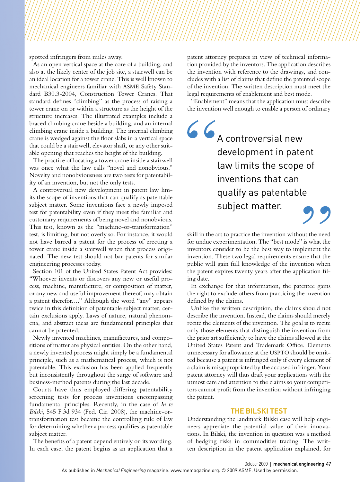spotted infringers from miles away.

As an open vertical space at the core of a building, and also at the likely center of the job site, a stairwell can be an ideal location for a tower crane. This is well known to mechanical engineers familiar with ASME Safety Standard B30.3-2004, Construction Tower Cranes. That standard defines "climbing" as the process of raising a tower crane on or within a structure as the height of the structure increases. The illustrated examples include a braced climbing crane beside a building, and an internal climbing crane inside a building. The internal climbing crane is wedged against the floor slabs in a vertical space that could be a stairwell, elevator shaft, or any other suitable opening that reaches the height of the building.

The practice of locating a tower crane inside a stairwell was once what the law calls "novel and nonobvious." Novelty and nonobviousness are two tests for patentability of an invention, but not the only tests.

A controversial new development in patent law limits the scope of inventions that can qualify as patentable subject matter. Some inventions face a newly imposed test for patentability even if they meet the familiar and customary requirements of being novel and nonobvious. This test, known as the "machine-or-transformation" test, is limiting, but not overly so. For instance, it would not have barred a patent for the process of erecting a tower crane inside a stairwell when that process originated. The new test should not bar patents for similar engineering processes today.

Section 101 of the United States Patent Act provides: "Whoever invents or discovers any new or useful process, machine, manufacture, or composition of matter, or any new and useful improvement thereof, may obtain a patent therefor.…" Although the word "any" appears twice in this definition of patentable subject matter, certain exclusions apply. Laws of nature, natural phenomena, and abstract ideas are fundamental principles that cannot be patented.

Newly invented machines, manufactures, and compositions of matter are physical entities. On the other hand, a newly invented process might simply be a fundamental principle, such as a mathematical process, which is not patentable. This exclusion has been applied frequently but inconsistently throughout the surge of software and business-method patents during the last decade.

Courts have thus employed differing patentability screening tests for process inventions encompassing fundamental principles. Recently, in the case of *In re Bilski*, 545 F.3d 934 (Fed. Cir. 2008), the machine-ortransformation test became the controlling rule of law for determining whether a process qualifies as patentable subject matter.

The benefits of a patent depend entirely on its wording. In each case, the patent begins as an application that a patent attorney prepares in view of technical information provided by the inventors. The application describes the invention with reference to the drawings, and concludes with a list of claims that define the patented scope of the invention. The written description must meet the legal requirements of enablement and best mode.

"Enablement" means that the application must describe the invention well enough to enable a person of ordinary

## A controversial new development in patent law limits the scope of inventions that can qualify as patentable subject matter.

skill in the art to practice the invention without the need for undue experimentation. The "best mode" is what the inventors consider to be the best way to implement the invention. These two legal requirements ensure that the public will gain full knowledge of the invention when the patent expires twenty years after the application filing date.

In exchange for that information, the patentee gains the right to exclude others from practicing the invention defined by the claims.

Unlike the written description, the claims should not describe the invention. Instead, the claims should merely recite the elements of the invention. The goal is to recite only those elements that distinguish the invention from the prior art sufficiently to have the claims allowed at the United States Patent and Trademark Office. Elements unnecessary for allowance at the USPTO should be omitted because a patent is infringed only if every element of a claim is misappropriated by the accused infringer. Your patent attorney will thus draft your applications with the utmost care and attention to the claims so your competitors cannot profit from the invention without infringing the patent.

## **The Bilski Test**

Understanding the landmark Bilski case will help engineers appreciate the potential value of their innovations. In Bilski, the invention in question was a method of hedging risks in commodities trading. The written description in the patent application explained, for

October 2009 | mechanical engineering 47